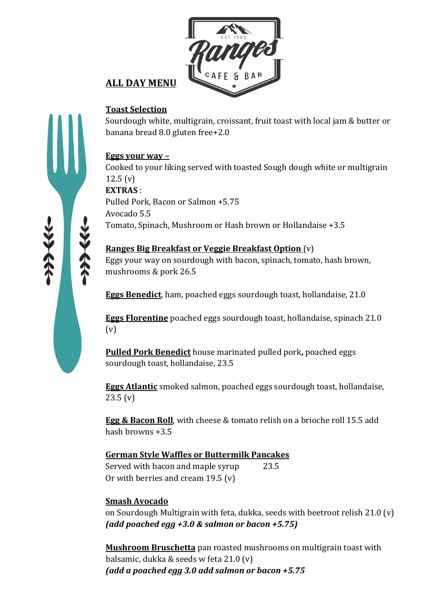

# **ALL DAY MENU**

## **Toast Selection**

Sourdough white, multigrain, croissant, fruit toast with local jam & butter or banana bread 8.0 gluten free+2.0

## **Eggs** your way –

Cooked to your liking served with toasted Sough dough white or multigrain  $12.5(y)$ **EXTRAS** : Pulled Pork, Bacon or Salmon +5.75 Avocado 5.5 Tomato, Spinach, Mushroom or Hash brown or Hollandaise +3.5

## **Ranges Big Breakfast or Veggie Breakfast Option** (v)

Eggs your way on sourdough with bacon, spinach, tomato, hash brown, mushrooms & pork 26.5

**Eggs Benedict**, ham, poached eggs sourdough toast, hollandaise, 21.0

**Eggs Florentine** poached eggs sourdough toast, hollandaise, spinach 21.0 (v)

**Pulled Pork Benedict** house marinated pulled pork, poached eggs sourdough toast, hollandaise, 23.5

**Eggs Atlantic** smoked salmon, poached eggs sourdough toast, hollandaise, 23.5 (v)

**Egg & Bacon Roll**, with cheese & tomato relish on a brioche roll 15.5 add hash browns  $+3.5$ 

#### **German Style Waffles or Buttermilk Pancakes** Served with bacon and maple syrup 23.5 Or with berries and cream  $19.5$  (v)

## **Smash Avocado**

on Sourdough Multigrain with feta, dukka, seeds with beetroot relish 21.0 (v) *(add poached egg +3.0 & salmon or bacon +5.75)*

**Mushroom Bruschetta** pan roasted mushrooms on multigrain toast with balsamic, dukka & seeds w feta  $21.0$  (v) *(add a poached egg 3.0 add salmon or bacon +5.75*